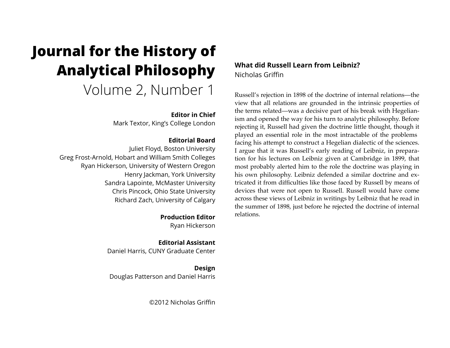# **Journal for the History of Analytical Philosophy**  Volume 2, Number 1

#### **Editor in Chief**

Mark Textor, King's College London

#### **Editorial Board**

Juliet Floyd, Boston University Greg Frost-Arnold, Hobart and William Smith Colleges Ryan Hickerson, University of Western Oregon Henry Jackman, York University Sandra Lapointe, McMaster University Chris Pincock, Ohio State University Richard Zach, University of Calgary

**Production Editor**

Ryan Hickerson

**Editorial Assistant**

Daniel Harris, CUNY Graduate Center

**Design** Douglas Patterson and Daniel Harris

©2012 Nicholas Griffin

## **What did Russell Learn from Leibniz?** Nicholas Griffin

Russell's rejection in 1898 of the doctrine of internal relations—the view that all relations are grounded in the intrinsic properties of the terms related—was a decisive part of his break with Hegelianism and opened the way for his turn to analytic philosophy. Before rejecting it, Russell had given the doctrine little thought, though it played an essential role in the most intractable of the problems facing his attempt to construct a Hegelian dialectic of the sciences. I argue that it was Russell's early reading of Leibniz, in preparation for his lectures on Leibniz given at Cambridge in 1899, that most probably alerted him to the role the doctrine was playing in his own philosophy. Leibniz defended a similar doctrine and extricated it from difficulties like those faced by Russell by means of devices that were not open to Russell. Russell would have come across these views of Leibniz in writings by Leibniz that he read in the summer of 1898, just before he rejected the doctrine of internal relations.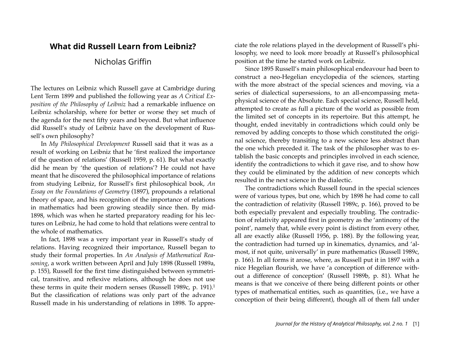### **What did Russell Learn from Leibniz?**

#### Nicholas Griffin

The lectures on Leibniz which Russell gave at Cambridge during Lent Term 1899 and published the following year as *A Critical Exposition of the Philosophy of Leibniz* had a remarkable influence on Leibniz scholarship, where for better or worse they set much of the agenda for the next fifty years and beyond. But what influence did Russell's study of Leibniz have on the development of Russell's own philosophy?

In *My Philosophical Development* Russell said that it was as a result of working on Leibniz that he 'first realized the importance of the question of relations' (Russell 1959, p. 61). But what exactly did he mean by 'the question of relations'? He could not have meant that he discovered the philosophical importance of relations from studying Leibniz, for Russell's first philosophical book, *An Essay on the Foundations of Geometry* (1897), propounds a relational theory of space, and his recognition of the importance of relations in mathematics had been growing steadily since then. By mid-1898, which was when he started preparatory reading for his lectures on Leibniz, he had come to hold that relations were central to the whole of mathematics.

In fact, 1898 was a very important year in Russell's study of relations. Having recognized their importance, Russell began to study their formal properties. In *An Analysis of Mathematical Reasoning*, a work written between April and July 1898 (Russell 1989a, p. 155), Russell for the first time distinguished between symmetrical, transitive, and reflexive relations, although he does not use these terms in quite their modern senses (Russell 1989c, p. 191)[.1](#page-8-0) But the classification of relations was only part of the advance Russell made in his understanding of relations in 1898. To appreciate the role relations played in the development of Russell's philosophy, we need to look more broadly at Russell's philosophical position at the time he started work on Leibniz.

Since 1895 Russell's main philosophical endeavour had been to construct a neo-Hegelian encyclopedia of the sciences, starting with the more abstract of the special sciences and moving, via a series of dialectical supersessions, to an all-encompassing metaphysical science of the Absolute. Each special science, Russell held, attempted to create as full a picture of the world as possible from the limited set of concepts in its repertoire. But this attempt, he thought, ended inevitably in contradictions which could only be removed by adding concepts to those which constituted the original science, thereby transiting to a new science less abstract than the one which preceded it. The task of the philosopher was to establish the basic concepts and principles involved in each science, identify the contradictions to which it gave rise, and to show how they could be eliminated by the addition of new concepts which resulted in the next science in the dialectic.

The contradictions which Russell found in the special sciences were of various types, but one, which by 1898 he had come to call the contradiction of relativity (Russell 1989c, p. 166), proved to be both especially prevalent and especially troubling. The contradiction of relativity appeared first in geometry as the 'antinomy of the point', namely that, while every point is distinct from every other, all are exactly alike (Russell 1956, p. 188). By the following year, the contradiction had turned up in kinematics, dynamics, and 'almost, if not quite, universally' in pure mathematics (Russell 1989c, p. 166). In all forms it arose, where, as Russell put it in 1897 with a nice Hegelian flourish, we have 'a conception of difference without a difference of conception' (Russell 1989b, p. 81). What he means is that we conceive of there being different points or other types of mathematical entities, such as quantities, (i.e., we have a conception of their being different), though all of them fall under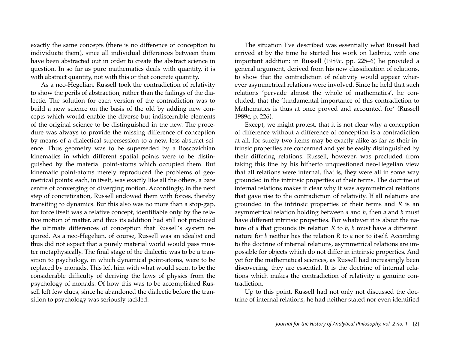exactly the same concepts (there is no difference of conception to individuate them), since all individual differences between them have been abstracted out in order to create the abstract science in question. In so far as pure mathematics deals with quantity, it is with abstract quantity, not with this or that concrete quantity.

As a neo-Hegelian, Russell took the contradiction of relativity to show the perils of abstraction, rather than the failings of the dialectic. The solution for each version of the contradiction was to build a new science on the basis of the old by adding new concepts which would enable the diverse but indiscernible elements of the original science to be distinguished in the new. The procedure was always to provide the missing difference of conception by means of a dialectical supersession to a new, less abstract science. Thus geometry was to be superseded by a Boscovichian kinematics in which different spatial points were to be distinguished by the material point-atoms which occupied them. But kinematic point-atoms merely reproduced the problems of geometrical points: each, in itself, was exactly like all the others, a bare centre of converging or diverging motion. Accordingly, in the next step of concretization, Russell endowed them with forces, thereby transiting to dynamics. But this also was no more than a stop-gap, for force itself was a relative concept, identifiable only by the relative motion of matter, and thus its addition had still not produced the ultimate differences of conception that Russell's system required. As a neo-Hegelian, of course, Russell was an idealist and thus did not expect that a purely material world would pass muster metaphysically. The final stage of the dialectic was to be a transition to psychology, in which dynamical point-atoms, were to be replaced by monads. This left him with what would seem to be the considerable difficulty of deriving the laws of physics from the psychology of monads. Of how this was to be accomplished Russell left few clues, since he abandoned the dialectic before the transition to psychology was seriously tackled.

The situation I've described was essentially what Russell had arrived at by the time he started his work on Leibniz, with one important addition: in Russell (1989c, pp. 225–6) he provided a general argument, derived from his new classification of relations, to show that the contradiction of relativity would appear wherever asymmetrical relations were involved. Since he held that such relations 'pervade almost the whole of mathematics', he concluded, that the 'fundamental importance of this contradiction to Mathematics is thus at once proved and accounted for' (Russell 1989c, p. 226).

Except, we might protest, that it is not clear why a conception of difference without a difference of conception is a contradiction at all, for surely two items may be exactly alike as far as their intrinsic properties are concerned and yet be easily distinguished by their differing relations. Russell, however, was precluded from taking this line by his hitherto unquestioned neo-Hegelian view that all relations were internal, that is, they were all in some way grounded in the intrinsic properties of their terms. The doctrine of internal relations makes it clear why it was asymmetrical relations that gave rise to the contradiction of relativity. If all relations are grounded in the intrinsic properties of their terms and *R* is an asymmetrical relation holding between *a* and *b*, then *a* and *b* must have different intrinsic properties. For whatever it is about the nature of *a* that grounds its relation *R* to *b*, *b* must have a different nature for *b* neither has the relation *R* to *a* nor to itself. According to the doctrine of internal relations, asymmetrical relations are impossible for objects which do not differ in intrinsic properties. And yet for the mathematical sciences, as Russell had increasingly been discovering, they are essential. It is the doctrine of internal relations which makes the contradiction of relativity a genuine contradiction.

Up to this point, Russell had not only not discussed the doctrine of internal relations, he had neither stated nor even identified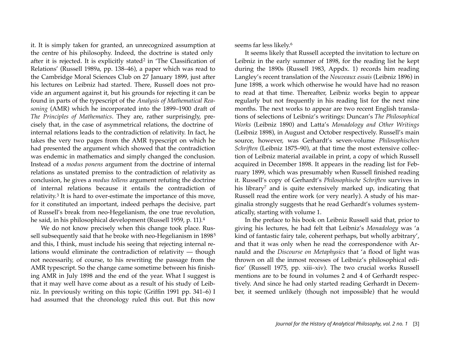it. It is simply taken for granted, an unrecognized assumption at the centre of his philosophy. Indeed, the doctrine is stated only after it is rejected. It is explicitly stated<sup>[2](#page-8-1)</sup> in 'The Classification of Relations' (Russell 1989a, pp. 138–46), a paper which was read to the Cambridge Moral Sciences Club on 27 January 1899, just after his lectures on Leibniz had started. There, Russell does not provide an argument against it, but his grounds for rejecting it can be found in parts of the typescript of the *Analysis of Mathematical Reasoning* (AMR) which he incorporated into the 1899–1900 draft of *The Principles of Mathematics*. They are, rather surprisingly, precisely that, in the case of asymmetrical relations, the doctrine of internal relations leads to the contradiction of relativity. In fact, he takes the very two pages from the AMR typescript on which he had presented the argument which showed that the contradiction was endemic in mathematics and simply changed the conclusion. Instead of a *modus ponens* argument from the doctrine of internal relations as unstated premiss to the contradiction of relativity as conclusion, he gives a *modus tollens* argument refuting the doctrine of internal relations because it entails the contradiction of relativity.[3](#page-8-2) It is hard to over-estimate the importance of this move, for it constituted an important, indeed perhaps the decisive, part of Russell's break from neo-Hegelianism, the one true revolution, he said, in his philosophical development (Russell 1959, p. 11).[4](#page-8-3)

We do not know precisely when this change took place. Rus-sell subsequently said that he broke with neo-Hegelianism in 1898<sup>[5](#page-8-4)</sup> and this, I think, must include his seeing that rejecting internal relations would eliminate the contradiction of relativity — though not necessarily, of course, to his rewriting the passage from the AMR typescript. So the change came sometime between his finishing AMR in July 1898 and the end of the year. What I suggest is that it may well have come about as a result of his study of Leibniz. In previously writing on this topic (Griffin 1991 pp. 341–6) I had assumed that the chronology ruled this out. But this now

seems far less likely.[6](#page-8-5)

It seems likely that Russell accepted the invitation to lecture on Leibniz in the early summer of 1898, for the reading list he kept during the 1890s (Russell 1983, Appdx. 1) records him reading Langley's recent translation of the *Nouveaux essais* (Leibniz 1896) in June 1898, a work which otherwise he would have had no reason to read at that time. Thereafter, Leibniz works begin to appear regularly but not frequently in his reading list for the next nine months. The next works to appear are two recent English translations of selections of Leibniz's writings: Duncan's *The Philosophical Works* (Leibniz 1890) and Latta's *Monadology and Other Writings* (Leibniz 1898), in August and October respectively. Russell's main source, however, was Gerhardt's seven-volume *Philosophischen Schriften* (Leibniz 1875–90), at that time the most extensive collection of Leibniz material available in print, a copy of which Russell acquired in December 1898. It appears in the reading list for February 1899, which was presumably when Russell finished reading it. Russell's copy of Gerhardt's *Philosophische Schriften* survives in his library<sup>7</sup> and is quite extensively marked up, indicating that Russell read the entire work (or very nearly). A study of his marginalia strongly suggests that he read Gerhardt's volumes systematically, starting with volume 1.

In the preface to his book on Leibniz Russell said that, prior to giving his lectures, he had felt that Leibniz's *Monadology* was 'a kind of fantastic fairy tale, coherent perhaps, but wholly arbitrary', and that it was only when he read the correspondence with Arnauld and the *Discourse on Metaphysics* that 'a flood of light was thrown on all the inmost recesses of Leibniz's philosophical edifice' (Russell 1975, pp. xiii–xiv). The two crucial works Russell mentions are to be found in volumes 2 and 4 of Gerhardt respectively. And since he had only started reading Gerhardt in December, it seemed unlikely (though not impossible) that he would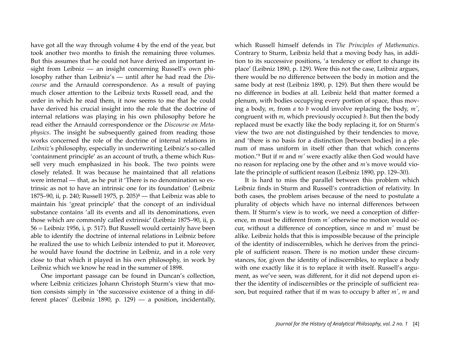have got all the way through volume 4 by the end of the year, but took another two months to finish the remaining three volumes. But this assumes that he could not have derived an important insight from Leibniz — an insight concerning Russell's own philosophy rather than Leibniz's — until after he had read the *Discourse* and the Arnauld correspondence. As a result of paying much closer attention to the Leibniz texts Russell read, and the order in which he read them, it now seems to me that he could have derived his crucial insight into the role that the doctrine of internal relations was playing in his own philosophy before he read either the Arnauld correspondence or the *Discourse on Metaphysics*. The insight he subsequently gained from reading those works concerned the role of the doctrine of internal relations in *Leibniz'*s philosophy, especially in underwriting Leibniz's so-called 'containment principle' as an account of truth, a theme which Russell very much emphasized in his book. The two points were closely related. It was because he maintained that all relations were internal — that, as he put it 'There is no denomination so extrinsic as not to have an intrinsic one for its foundation' (Leibniz 1[8](#page-8-7)75–90, ii, p. 240; Russell 1975, p. 205)<sup>8</sup> — that Leibniz was able to maintain his 'great principle' that the concept of an individual substance contains 'all its events and all its denominations, even those which are commonly called extrinsic' (Leibniz 1875–90, ii, p. 56 = Leibniz 1956, i, p. 517). But Russell would certainly have been able to identify the doctrine of internal relations in Leibniz before he realized the use to which Leibniz intended to put it. Moreover, he would have found the doctrine in Leibniz, and in a role very close to that which it played in his own philosophy, in work by Leibniz which we know he read in the summer of 1898.

One important passage can be found in Duncan's collection, where Leibniz criticizes Johann Christoph Sturm's view that motion consists simply in 'the successive existence of a thing in different places' (Leibniz 1890, p. 129) — a position, incidentally, which Russell himself defends in *The Principles of Mathematics*. Contrary to Sturm, Leibniz held that a moving body has, in addition to its successive positions, 'a tendency or effort to change its place' (Leibniz 1890, p. 129). Were this not the case, Leibniz argues, there would be no difference between the body in motion and the same body at rest (Leibniz 1890, p. 129). But then there would be no difference in bodies at all. Leibniz held that matter formed a plenum, with bodies occupying every portion of space, thus moving a body, *m*, from *a* to *b* would involve replacing the body, *m!*, congruent with *m*, which previously occupied *b*. But then the body replaced must be exactly like the body replacing it, for on Sturm's view the two are not distinguished by their tendencies to move, and 'there is no basis for a distinction [between bodies] in a plenum of mass uniform in itself other than that which concerns motion.<sup>'[9](#page-8-8)</sup> But if *m* and *m*<sup>*'*</sup> were exactly alike then God would have no reason for replacing one by the other and *m'*s move would violate the principle of sufficient reason (Leibniz 1890, pp. 129–30).

It is hard to miss the parallel between this problem which Leibniz finds in Sturm and Russell's contradiction of relativity. In both cases, the problem arises because of the need to postulate a plurality of objects which have no internal differences between them. If Sturm's view is to work, we need a conception of difference, m must be different from *m!* otherwise no motion would occur, without a difference of conception, since *m* and *m!* must be alike. Leibniz holds that this is impossible because of the principle of the identity of indiscernibles, which he derives from the principle of sufficient reason. There is no motion under these circumstances, for, given the identity of indiscernibles, to replace a body with one exactly like it is to replace it with itself. Russell's argument, as we've seen, was different, for it did not depend upon either the identity of indiscernibles or the principle of sufficient reason, but required rather that if m was to occupy b after *m!*, *m* and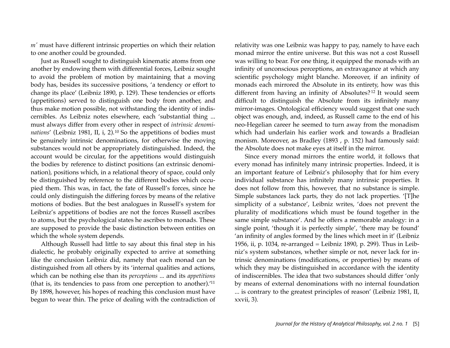*m!* must have different intrinsic properties on which their relation to one another could be grounded.

Just as Russell sought to distinguish kinematic atoms from one another by endowing them with differential forces, Leibniz sought to avoid the problem of motion by maintaining that a moving body has, besides its successive positions, 'a tendency or effort to change its place' (Leibniz 1890, p. 129). These tendencies or efforts (appetitions) served to distinguish one body from another, and thus make motion possible, not withstanding the identity of indiscernibles. As Leibniz notes elsewhere, each 'substantial thing ... must always differ from every other in respect of *intrinsic denominations'* (Leibniz 1981, II, i, 2).<sup>[10](#page-9-0)</sup> So the appetitions of bodies must be genuinely intrinsic denominations, for otherwise the moving substances would not be appropriately distinguished. Indeed, the account would be circular, for the appetitions would distinguish the bodies by reference to distinct positions (an extrinsic denomination), positions which, in a relational theory of space, could only be distinguished by reference to the different bodies which occupied them. This was, in fact, the fate of Russell's forces, since he could only distinguish the differing forces by means of the relative motions of bodies. But the best analogues in Russell's system for Leibniz's appetitions of bodies are not the forces Russell ascribes to atoms, but the psychological states he ascribes to monads. These are supposed to provide the basic distinction between entities on which the whole system depends.

Although Russell had little to say about this final step in his dialectic, he probably originally expected to arrive at something like the conclusion Leibniz did, namely that each monad can be distinguished from all others by its 'internal qualities and actions, which can be nothing else than its *perceptions* ... and its *appetitions* (that is, its tendencies to pass from one perception to another).['11](#page-9-1) By 1898, however, his hopes of reaching this conclusion must have begun to wear thin. The price of dealing with the contradiction of relativity was one Leibniz was happy to pay, namely to have each monad mirror the entire universe. But this was not a cost Russell was willing to bear. For one thing, it equipped the monads with an infinity of unconscious perceptions, an extravagance at which any scientific psychology might blanche. Moreover, if an infinity of monads each mirrored the Absolute in its entirety, how was this different from having an infinity of Absolutes? [12](#page-9-2) It would seem difficult to distinguish the Absolute from its infinitely many mirror-images. Ontological efficiency would suggest that one such object was enough, and, indeed, as Russell came to the end of his neo-Hegelian career he seemed to turn away from the monadism which had underlain his earlier work and towards a Bradleian monism. Moreover, as Bradley (1893 , p. 152) had famously said: the Absolute does not make eyes at itself in the mirror.

Since every monad mirrors the entire world, it follows that every monad has infinitely many intrinsic properties. Indeed, it is an important feature of Leibniz's philosophy that for him every individual substance has infinitely many intrinsic properties. It does not follow from this, however, that no substance is simple. Simple substances lack parts, they do not lack properties. '[T]he simplicity of a substance', Leibniz writes, 'does not prevent the plurality of modifications which must be found together in the same simple substance'. And he offers a memorable analogy: in a single point, 'though it is perfectly simple', 'there may be found' 'an infinity of angles formed by the lines which meet in it' (Leibniz 1956, ii, p. 1034, re-arranged = Leibniz 1890, p. 299). Thus in Leibniz's system substances, whether simple or not, never lack for intrinsic denominations (modifications, or properties) by means of which they may be distinguished in accordance with the identity of indiscernibles. The idea that two substances should differ 'only by means of external denominations with no internal foundation ... is contrary to the greatest principles of reason' (Leibniz 1981, II, xxvii, 3).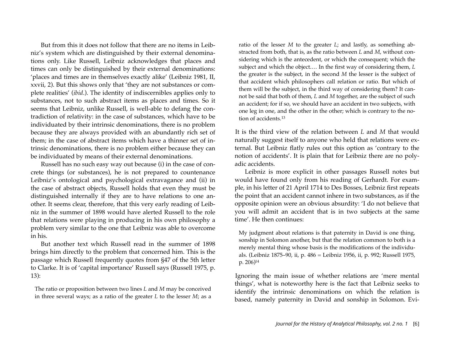But from this it does not follow that there are no items in Leibniz's system which are distinguished by their external denominations only. Like Russell, Leibniz acknowledges that places and times can only be distinguished by their external denominations: 'places and times are in themselves exactly alike' (Leibniz 1981, II, xxvii, 2). But this shows only that 'they are not substances or complete realities' (*ibid*.). The identity of indiscernibles applies only to substances, not to such abstract items as places and times. So it seems that Leibniz, unlike Russell, is well-able to defang the contradiction of relativity: in the case of substances, which have to be individuated by their intrinsic denominations, there is no problem because they are always provided with an abundantly rich set of them; in the case of abstract items which have a thinner set of intrinsic denominations, there is no problem either because they can be individuated by means of their external denominations.

Russell has no such easy way out because (i) in the case of concrete things (or substances), he is not prepared to countenance Leibniz's ontological and psychological extravagance and (ii) in the case of abstract objects, Russell holds that even they must be distinguished internally if they are to have relations to one another. It seems clear, therefore, that this very early reading of Leibniz in the summer of 1898 would have alerted Russell to the role that relations were playing in producing in his own philosophy a problem very similar to the one that Leibniz was able to overcome in his.

But another text which Russell read in the summer of 1898 brings him directly to the problem that concerned him. This is the passage which Russell frequently quotes from §47 of the 5th letter to Clarke. It is of 'capital importance' Russell says (Russell 1975, p. 13):

The ratio or proposition between two lines *L* and *M* may be conceived in three several ways; as a ratio of the greater *L* to the lesser *M*; as a ratio of the lesser *M* to the greater *L*; and lastly, as something abstracted from both, that is, as the ratio between *L* and *M*, without considering which is the antecedent, or which the consequent; which the subject and which the object.… In the first way of considering them, *L* the greater is the subject, in the second *M* the lesser is the subject of that accident which philosophers call relation or ratio. But which of them will be the subject, in the third way of considering them? It cannot be said that both of them, *L* and *M* together, are the subject of such an accident; for if so, we should have an accident in two subjects, with one leg in one, and the other in the other; which is contrary to the notion of accidents[.13](#page-9-3)

It is the third view of the relation between *L* and *M* that would naturally suggest itself to anyone who held that relations were external. But Leibniz flatly rules out this option as 'contrary to the notion of accidents'. It is plain that for Leibniz there are no polyadic accidents.

Leibniz is more explicit in other passages Russell notes but would have found only from his reading of Gerhardt. For example, in his letter of 21 April 1714 to Des Bosses, Leibniz first repeats the point that an accident cannot inhere in two substances, as if the opposite opinion were an obvious absurdity: 'I do not believe that you will admit an accident that is in two subjects at the same time'. He then continues:

My judgment about relations is that paternity in David is one thing, sonship in Solomon another, but that the relation common to both is a merely mental thing whose basis is the modifications of the individuals. (Leibniz 1875–90, ii, p. 486 = Leibniz 1956, ii, p. 992; Russell 1975, p. 206[\)14](#page-9-4)

Ignoring the main issue of whether relations are 'mere mental things', what is noteworthy here is the fact that Leibniz seeks to identify the intrinsic denominations on which the relation is based, namely paternity in David and sonship in Solomon. Evi-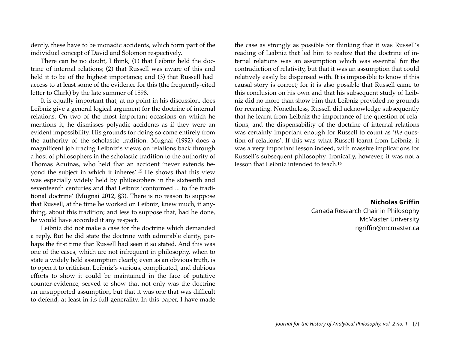dently, these have to be monadic accidents, which form part of the individual concept of David and Solomon respectively.

There can be no doubt, I think, (1) that Leibniz held the doctrine of internal relations; (2) that Russell was aware of this and held it to be of the highest importance; and (3) that Russell had access to at least some of the evidence for this (the frequently-cited letter to Clark) by the late summer of 1898.

It is equally important that, at no point in his discussion, does Leibniz give a general logical argument for the doctrine of internal relations. On two of the most important occasions on which he mentions it, he dismisses polyadic accidents as if they were an evident impossibility. His grounds for doing so come entirely from the authority of the scholastic tradition. Mugnai (1992) does a magnificent job tracing Leibniz's views on relations back through a host of philosophers in the scholastic tradition to the authority of Thomas Aquinas, who held that an accident 'never extends beyond the subject in which it inheres'.[15](#page-9-5) He shows that this view was especially widely held by philosophers in the sixteenth and seventeenth centuries and that Leibniz 'conformed ... to the traditional doctrine' (Mugnai 2012, §3). There is no reason to suppose that Russell, at the time he worked on Leibniz, knew much, if anything, about this tradition; and less to suppose that, had he done, he would have accorded it any respect.

Leibniz did not make a case for the doctrine which demanded a reply. But he did state the doctrine with admirable clarity, perhaps the first time that Russell had seen it so stated. And this was one of the cases, which are not infrequent in philosophy, when to state a widely held assumption clearly, even as an obvious truth, is to open it to criticism. Leibniz's various, complicated, and dubious efforts to show it could be maintained in the face of putative counter-evidence, served to show that not only was the doctrine an unsupported assumption, but that it was one that was difficult to defend, at least in its full generality. In this paper, I have made the case as strongly as possible for thinking that it was Russell's reading of Leibniz that led him to realize that the doctrine of internal relations was an assumption which was essential for the contradiction of relativity, but that it was an assumption that could relatively easily be dispensed with. It is impossible to know if this causal story is correct; for it is also possible that Russell came to this conclusion on his own and that his subsequent study of Leibniz did no more than show him that Leibniz provided no grounds for recanting. Nonetheless, Russell did acknowledge subsequently that he learnt from Leibniz the importance of the question of relations, and the dispensability of the doctrine of internal relations was certainly important enough for Russell to count as '*the* question of relations'. If this was what Russell learnt from Leibniz, it was a very important lesson indeed, with massive implications for Russell's subsequent philosophy. Ironically, however, it was not a lesson that Leibniz intended to teach[.16](#page-9-6)

> **Nicholas Griffin** Canada Research Chair in Philosophy McMaster University ngriffi[n@mcmaster.ca](mailto:ngriffin@mcmaster.ca)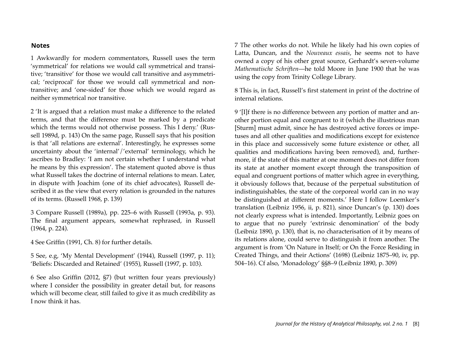#### **Notes**

<span id="page-8-0"></span>1 Awkwardly for modern commentators, Russell uses the term 'symmetrical' for relations we would call symmetrical and transitive; 'transitive' for those we would call transitive and asymmetrical; 'reciprocal' for those we would call symmetrical and nontransitive; and 'one-sided' for those which we would regard as neither symmetrical nor transitive.

<span id="page-8-1"></span>2 'It is argued that a relation must make a difference to the related terms, and that the difference must be marked by a predicate which the terms would not otherwise possess. This I deny.' (Russell 1989d, p. 143) On the same page, Russell says that his position is that 'all relations are external'. Interestingly, he expresses some uncertainty about the 'internal'/'external' terminology, which he ascribes to Bradley: 'I am not certain whether I understand what he means by this expression'. The statement quoted above is thus what Russell takes the doctrine of internal relations to mean. Later, in dispute with Joachim (one of its chief advocates), Russell described it as the view that every relation is grounded in the natures of its terms. (Russell 1968, p. 139)

<span id="page-8-2"></span>3 Compare Russell (1989a), pp. 225–6 with Russell (1993a, p. 93). The final argument appears, somewhat rephrased, in Russell (1964, p. 224).

<span id="page-8-3"></span>4 See Griffin (1991, Ch. 8) for further details.

<span id="page-8-4"></span>5 See, e.g, 'My Mental Development' (1944), Russell (1997, p. 11); 'Beliefs: Discarded and Retained' (1955), Russell (1997, p. 103).

<span id="page-8-5"></span>6 See also Griffin (2012, §7) (but written four years previously) where I consider the possibility in greater detail but, for reasons which will become clear, still failed to give it as much credibility as I now think it has.

<span id="page-8-6"></span>7 The other works do not. While he likely had his own copies of Latta, Duncan, and the *Nouveaux essais*, he seems not to have owned a copy of his other great source, Gerhardt's seven-volume *Mathematische Schriften*—he told Moore in June 1900 that he was using the copy from Trinity College Library.

<span id="page-8-7"></span>8 This is, in fact, Russell's first statement in print of the doctrine of internal relations.

<span id="page-8-8"></span>9 '[I]f there is no difference between any portion of matter and another portion equal and congruent to it (which the illustrious man [Sturm] must admit, since he has destroyed active forces or impetuses and all other qualities and modifications except for existence in this place and successively some future existence or other, all qualities and modifications having been removed), and, furthermore, if the state of this matter at one moment does not differ from its state at another moment except through the transposition of equal and congruent portions of matter which agree in everything, it obviously follows that, because of the perpetual substitution of indistinguishables, the state of the corporeal world can in no way be distinguished at different moments.' Here I follow Loemker's translation (Leibniz 1956, ii, p. 821), since Duncan's (p. 130) does not clearly express what is intended. Importantly, Leibniz goes on to argue that no purely 'extrinsic denomination' of the body (Leibniz 1890, p. 130), that is, no characterisation of it by means of its relations alone, could serve to distinguish it from another. The argument is from 'On Nature in Itself; or On the Force Residing in Created Things, and their Actions' (1698) (Leibniz 1875–90, iv, pp. 504–16). Cf also, 'Monadology' §§8–9 (Leibniz 1890, p. 309)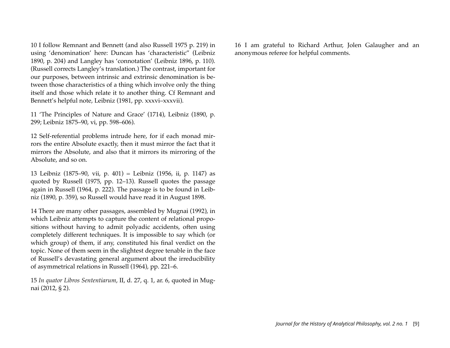<span id="page-9-0"></span>10 I follow Remnant and Bennett (and also Russell 1975 p. 219) in using 'denomination' here: Duncan has 'characteristic" (Leibniz 1890, p. 204) and Langley has 'connotation' (Leibniz 1896, p. 110). (Russell corrects Langley's translation.) The contrast, important for our purposes, between intrinsic and extrinsic denomination is between those characteristics of a thing which involve only the thing itself and those which relate it to another thing. Cf Remnant and Bennett's helpful note, Leibniz (1981, pp. xxxvi–xxxvii).

<span id="page-9-1"></span>11 'The Principles of Nature and Grace' (1714), Leibniz (1890, p. 299; Leibniz 1875–90, vi, pp. 598–606).

<span id="page-9-2"></span>12 Self-referential problems intrude here, for if each monad mirrors the entire Absolute exactly, then it must mirror the fact that it mirrors the Absolute, and also that it mirrors its mirroring of the Absolute, and so on.

<span id="page-9-3"></span>13 Leibniz (1875–90, vii, p. 401) = Leibniz (1956, ii, p. 1147) as quoted by Russell (1975, pp. 12–13). Russell quotes the passage again in Russell (1964, p. 222). The passage is to be found in Leibniz (1890, p. 359), so Russell would have read it in August 1898.

<span id="page-9-4"></span>14 There are many other passages, assembled by Mugnai (1992), in which Leibniz attempts to capture the content of relational propositions without having to admit polyadic accidents, often using completely different techniques. It is impossible to say which (or which group) of them, if any, constituted his final verdict on the topic. None of them seem in the slightest degree tenable in the face of Russell's devastating general argument about the irreducibility of asymmetrical relations in Russell (1964), pp. 221–6.

<span id="page-9-5"></span>15 *In quator Libros Sententiarum*, II, d. 27, q. 1, ar. 6, quoted in Mugnai (2012, § 2).

<span id="page-9-6"></span>16 I am grateful to Richard Arthur, Jolen Galaugher and an anonymous referee for helpful comments.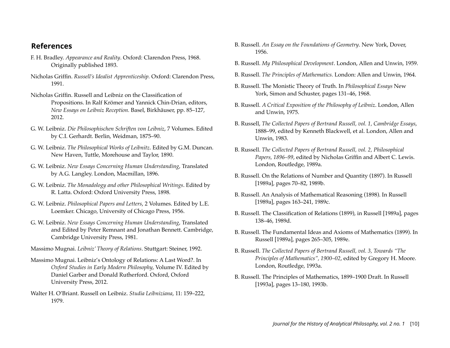#### **References**

- F. H. Bradley. *Appearance and Reality*. Oxford: Clarendon Press, 1968. Originally published 1893.
- Nicholas Griffin. *Russell's Idealist Apprenticeship.* Oxford: Clarendon Press, 1991.
- Nicholas Griffin. Russell and Leibniz on the Classification of Propositions. In Ralf Krömer and Yannick Chin-Drian, editors, *New Essays on Leibniz Reception.* Basel, Birkhäuser, pp. 85–127, 2012.
- G. W. Leibniz. *Die Philosophischen Schriften von Leibniz*, 7 Volumes. Edited by C.I. Gerhardt. Berlin, Weidman, 1875–90.
- G. W. Leibniz. *The Philosophical Works of Leibnitz*. Edited by G.M. Duncan. New Haven, Tuttle, Morehouse and Taylor, 1890.
- G. W. Leibniz. *New Essays Concerning Human Understanding*, Translated by A.G. Langley. London, Macmillan, 1896.
- G. W. Leibniz. *The Monadology and other Philosophical Writings*. Edited by R. Latta. Oxford: Oxford University Press, 1898.
- G. W. Leibniz. *Philosophical Papers and Letters*, 2 Volumes. Edited by L.E. Loemker. Chicago, University of Chicago Press, 1956.
- G. W. Leibniz. *New Essays Concerning Human Understanding*, Translated and Edited by Peter Remnant and Jonathan Bennett. Cambridge, Cambridge University Press, 1981.
- Massimo Mugnai. *Leibniz' Theory of Relations*. Stuttgart: Steiner, 1992.
- Massimo Mugnai. Leibniz's Ontology of Relations: A Last Word?. In *Oxford Studies in Early Modern Philosophy*, Volume IV. Edited by Daniel Garber and Donald Rutherford. Oxford, Oxford University Press, 2012.
- Walter H. O'Briant. Russell on Leibniz. *Studia Leibniziana*, 11: 159–222, 1979.
- B. Russell. *An Essay on the Foundations of Geometry*. New York, Dover, 1956.
- B. Russell. *My Philosophical Development*. London, Allen and Unwin, 1959.
- B. Russell. *The Principles of Mathematics.* London: Allen and Unwin, 1964.
- B. Russell. The Monistic Theory of Truth. In *Philosophical Essays* New York, Simon and Schuster, pages 131–46, 1968.
- B. Russell. *A Critical Exposition of the Philosophy of Leibniz*. London, Allen and Unwin, 1975.
- B. Russell, *The Collected Papers of Bertrand Russell, vol. 1, Cambridge Essays*, 1888–99, edited by Kenneth Blackwell, et al. London, Allen and Unwin, 1983.
- B. Russell. *The Collected Papers of Bertrand Russell, vol. 2, Philosophical Papers, 1896–99*, edited by Nicholas Griffin and Albert C. Lewis. London, Routledge, 1989a.
- B. Russell. On the Relations of Number and Quantity (1897). In Russell [1989a], pages 70–82, 1989b.
- B. Russell. An Analysis of Mathematical Reasoning (1898). In Russell [1989a], pages 163–241, 1989c.
- B. Russell. The Classification of Relations (1899), in Russell [1989a], pages 138–46, 1989d.
- B. Russell. The Fundamental Ideas and Axioms of Mathematics (1899). In Russell [1989a], pages 265–305, 1989e.
- B. Russell. *The Collected Papers of Bertrand Russell, vol. 3, Towards "The Principles of Mathematics", 1900–02*, edited by Gregory H. Moore. London, Routledge, 1993a.
- B. Russell. The Principles of Mathematics, 1899–1900 Draft. In Russell [1993a], pages 13–180, 1993b.